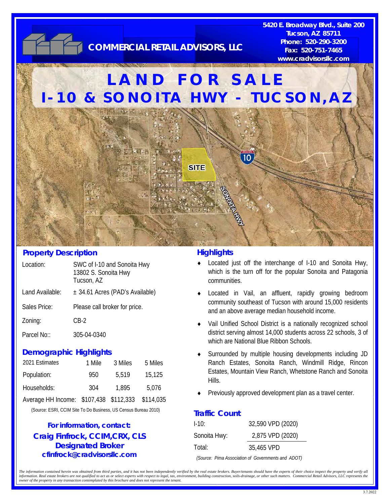

### **Property Description**

| Location:       | SWC of I-10 and Sonoita Hwy<br>13802 S. Sonoita Hwy<br>Tucson, AZ |
|-----------------|-------------------------------------------------------------------|
| Land Available: | ± 34.61 Acres (PAD's Available)                                   |
| Sales Price:    | Please call broker for price.                                     |
| Zoning:         | CB-2                                                              |
|                 |                                                                   |

### Parcel No:: 305-04-0340

#### **Demographic Highlights**

| 2021 Estimates                         | 1 Mile | 3 Miles | 5 Miles   |
|----------------------------------------|--------|---------|-----------|
| Population:                            | 950    | 5,519   | 15,125    |
| Households:                            | 304    | 1.895   | 5,076     |
| Average HH Income: \$107,438 \$112,333 |        |         | \$114,035 |

(Source: ESRI, CCIM Site To Do Business, US Census Bureau 2010)

### **Craig Finfrock, CCIM,CRX, CLS Designated Broker cfinfrock@cradvisorsllc.com For information, contact:**

#### **Highlights**

- Located just off the interchange of I-10 and Sonoita Hwy, which is the turn off for the popular Sonoita and Patagonia communities.
- Located in Vail, an affluent, rapidly growing bedroom community southeast of Tucson with around 15,000 residents and an above average median household income.
- Vail Unified School District is a nationally recognized school district serving almost 14,000 students across 22 schools, 3 of which are National Blue Ribbon Schools.
- Surrounded by multiple housing developments including JD Ranch Estates, Sonoita Ranch, Windmill Ridge, Rincon Estates, Mountain View Ranch, Whetstone Ranch and Sonoita Hills.
- Previously approved development plan as a travel center.

### **Traffic Count**

| $1-10$ :     | 32,590 VPD (2020) |
|--------------|-------------------|
| Sonoita Hwy: | 2,875 VPD (2020)  |
| Total:       | 35,465 VPD        |

*(Source: Pima Association of Governments and ADOT)* 

The information contained herein was obtained from third parties, and it has not been independently verified by the real estate brokers. Buyer/tenants should have the experts of their choice inspect the property and verify information. Real estate brokers are not qualified to act as or select experts with respect to legal, tax, environment, building construction, soils-drainage, or other such matters. Commercial Retail Advisors, LLC represen *owner of the property in any transaction contemplated by this brochure and does not represent the tenant.*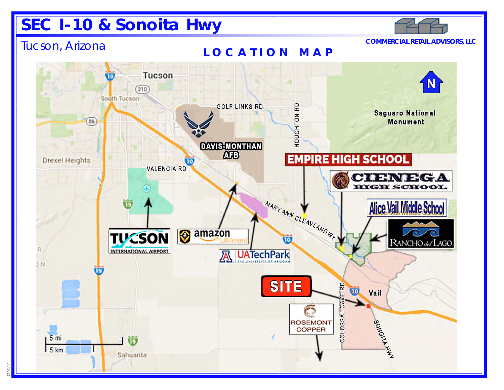# **SEC I-10 & Sonoita Hwy**



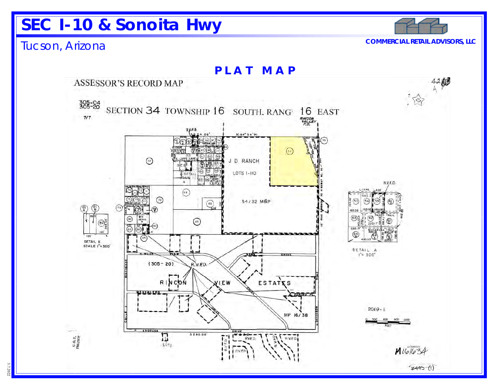# **SEC I-10 & Sonoita Hwy**

### Tucson, Arizona **COMMERCIAL RETAIL ADVISORS, LLC**

**PLAT MAP** 海 42 **ASSESSOR'S RECORD MAP**  $305 - 24$ SECTION 34 TOWNSHIP 16 SOUTH. RANG 16 EAST  $7/7$ N.89" 54'W  $\Omega$  $\odot$ D RANCH đ **LOTS I-110** R.V.F.D.  $\circledcirc$ ⊙ 54/32 MBP  $(\epsilon_{\texttt{s}})$  $\circ$  $\odot$  $\sum_{i=0}^{n}$ DETAIL B **SCALE 1"= 300"**  $DETA/L$  A<br> $I'' = 300^4$  $(305 - 20)$  $R.V.ED$ ESTATES RINCON **YIEW**  $2019 - 1$ MP 16/38  $\begin{array}{c}\n\hline\n\text{BIVE} \\
\hline\n\text{BIVE} \\
\hline\n\end{array}$ 5280.00  $\begin{array}{cc} \textbf{C.0. T.} \\ \textbf{PROJERT} \end{array}$ Π Ã RVED  $3157$  $M1616$  $7445(1)$